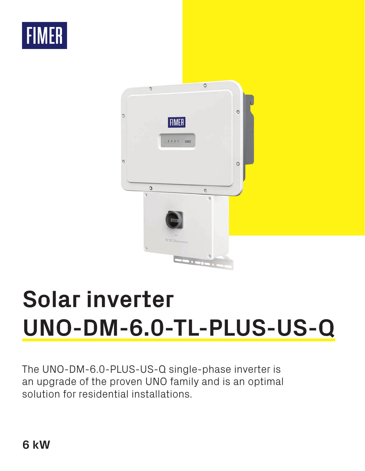



# **Solar inverter UNO-DM-6.0-TL-PLUS-US-Q**

The UNO-DM-6.0-PLUS-US-Q single-phase inverter is an upgrade of the proven UNO family and is an optimal solution for residential installations.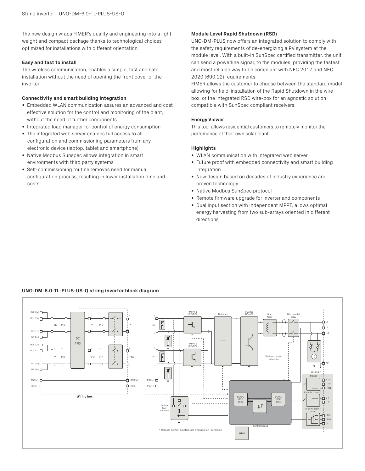The new design wraps FIMER's quality and engineering into a light weight and compact package thanks to technological choices optimized for installations with different orientation.

## **Easy and fast to install**

The wireless communication, enables a simple, fast and safe installation without the need of opening the front cover of the inverter.

# **Connectivity and smart building integration**

- Embedded WLAN communication assures an advanced and cost effective solution for the control and monitoring of the plant, without the need of further components
- Integrated load manager for control of energy consumption
- The integrated web server enables full access to all configuration and commissioning parameters from any electronic device (laptop, tablet and smartphone)
- Native Modbus Sunspec allows integration in smart environments with third party systems
- Self-commissioning routine removes need for manual configuration process, resulting in lower installation time and costs

### **Module Level Rapid Shutdown (RSD)**

UNO-DM-PLUS now offers an integrated solution to comply with the safety requirements of de-energizing a PV system at the module level. With a built-in SunSpec certified transmitter, the unit can send a powerline signal, to the modules, providing the fastest and most reliable way to be compliant with NEC 2017 and NEC 2020 (690.12) requirements.

FIMER allows the customer to choose between the standard model allowing for field-installation of the Rapid Shutdown in the wire box, or the integrated RSD wire-box for an agnostic solution compatible with SunSpec compliant receivers.

### **Energy Viewer**

This tool allows residential customers to remotely monitor the perfomance of their own solar plant.

# **Highlights**

- WLAN communication with integrated web server
- Future proof with embedded connectivity and smart building integration
- New design based on decades of industry experience and proven technology
- Native Modbus SunSpec protocol
- Remote firmware upgrade for inverter and components
- Dual input section with independent MPPT, allows optimal energy harvesting from two sub-arrays oriented in different directions

# **UNO-DM-6.0-TL-PLUS-US-Q string inverter block diagram**

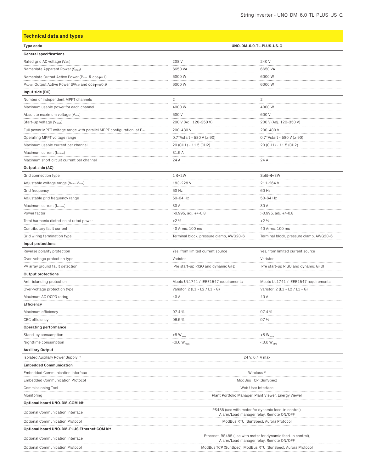# **Technical data and types**

| Type code                                                              | UNO-DM-6.0-TL-PLUS-US-Q                                                                                  |                                         |
|------------------------------------------------------------------------|----------------------------------------------------------------------------------------------------------|-----------------------------------------|
| <b>General specifications</b>                                          |                                                                                                          |                                         |
| Rated grid AC voltage (VACr)                                           | 208 V                                                                                                    | 240 V                                   |
| Nameplate Apparent Power (Smax)                                        | 6650 VA                                                                                                  | 6650 VA                                 |
| Nameplate Output Active Power (P <sub>max</sub> @ coso=1)              | 6000 W                                                                                                   | 6000 W                                  |
| PRATED: Output Active Power IDVACr and COSO=±0,9                       | 6000 W                                                                                                   | 6000 W                                  |
| Input side (DC)                                                        |                                                                                                          |                                         |
| Number of independent MPPT channels                                    | $\overline{2}$                                                                                           | $\overline{2}$                          |
| Maximum usable power for each channel                                  | 4000 W                                                                                                   | 4000 W                                  |
| Absolute maximum voltage (Vmax)                                        | 600 V                                                                                                    | 600 V                                   |
| Start-up voltage (Vstart)                                              | 200 V (Adj. 120-350 V)                                                                                   | 200 V (Adj. 120-350 V)                  |
| Full power MPPT voltage range with parallel MPPT configuration at Pacr | 200-480 V                                                                                                | 200-480V                                |
| Operating MPPT voltage range                                           | $0.7*Vstart - 580 V (\ge 90)$                                                                            | 0.7*Vstart - 580 V ( $\geq$ 90)         |
| Maximum usable current per channel                                     | 20 (CH1) - 11.5 (CH2)                                                                                    | 20 (CH1) - 11.5 (CH2)                   |
| Maximum current (Idcmax)                                               | 31,5A                                                                                                    |                                         |
| Maximum short circuit current per channel                              | 24 A                                                                                                     | 24 A                                    |
| Output side (AC)                                                       |                                                                                                          |                                         |
| Grid connection type                                                   | $1 \Phi/2W$                                                                                              | Split- $\Phi$ /3W                       |
| Adjustable voltage range (Vmin-Vmax)                                   | 183-228 V                                                                                                | 211-264 V                               |
| Grid frequency                                                         | 60 Hz                                                                                                    | 60 Hz                                   |
| Adjustable grid frequency range                                        | 50-64 Hz                                                                                                 | 50-64 Hz                                |
| Maximum current (lac.max)                                              | 30 A                                                                                                     | 30 A                                    |
| Power factor                                                           |                                                                                                          |                                         |
|                                                                        | $>0.995$ , adj. $+/-0.8$                                                                                 | >0.995, adj. +/-0.8                     |
| Total harmonic distortion at rated power                               | 2%                                                                                                       | 2%                                      |
| Contributory fault current                                             | 40 Arms; 100 ms                                                                                          | 40 Arms; 100 ms                         |
| Grid wiring termination type                                           | Terminal block, pressure clamp, AWG20-6                                                                  | Terminal block, pressure clamp, AWG20-6 |
| Input protections                                                      |                                                                                                          |                                         |
| Reverse polarity protection                                            | Yes, from limited current source                                                                         | Yes, from limited current source        |
| Over-voltage protection type                                           | Varistor                                                                                                 | Varistor                                |
| PV array ground fault detection                                        | Pre start-up RISO and dynamic GFDI                                                                       | Pre start-up RISO and dynamic GFDI      |
| <b>Output protections</b>                                              |                                                                                                          |                                         |
| Anti-islanding protection                                              | Meets UL1741 / IEEE1547 requirements                                                                     | Meets UL1741 / IEEE1547 requirements    |
| Over-voltage protection type                                           | Varistor, 2 (L1 - L2 / L1 - G)                                                                           | Varistor, 2 (L1 - L2 / L1 - G)          |
| Maximum AC OCPD rating                                                 | 40 A                                                                                                     | 40 A                                    |
| <b>Efficiency</b>                                                      |                                                                                                          |                                         |
| Maximum efficiency                                                     | 97.4 %                                                                                                   | 97.4 %                                  |
| <b>CEC</b> efficiency                                                  | 96.5%                                                                                                    | 97 %                                    |
| Operating performance                                                  |                                                                                                          |                                         |
| Stand-by consumption                                                   | $<8~\rm{W}_{_{RMS}}$                                                                                     | $<\!8\,$ W $_{\rm RMS}$                 |
| Nighttime consumption                                                  | ${<}0.6~{\rm W}_{_{\rm RMS}}$                                                                            | $<$ 0.6 W <sub>rms</sub>                |
| <b>Auxiliary Output</b>                                                |                                                                                                          |                                         |
| Isolated Auxiliary Power Supply <sup>1)</sup>                          |                                                                                                          | 24 V, 0.4 A max                         |
| <b>Embedded Communication</b>                                          |                                                                                                          |                                         |
| <b>Embedded Communication Interface</b>                                | Wireless <sup>2)</sup>                                                                                   |                                         |
| <b>Embedded Communication Protocol</b>                                 | ModBus TCP (SunSpec)                                                                                     |                                         |
| Commissioning Tool                                                     | Web User Interface                                                                                       |                                         |
| Monitoring                                                             | Plant Portfolio Manager, Plant Viewer, Energy Viewer                                                     |                                         |
| Optional board UNO-DM-COM kit                                          |                                                                                                          |                                         |
| Optional Communication Interface                                       | RS485 (use with meter for dynamic feed-in control),                                                      |                                         |
|                                                                        | Alarm/Load manager relay, Remote ON/OFF<br>ModBus RTU (SunSpec), Aurora Protocol                         |                                         |
| <b>Optional Communication Protocol</b>                                 |                                                                                                          |                                         |
| Optional board UNO-DM-PLUS Ethernet COM kit                            |                                                                                                          |                                         |
| Optional Communication Interface                                       | Ethernet, RS485 (use with meter for dynamic feed-in control),<br>Alarm/Load manager relay, Remote ON/OFF |                                         |
| Optional Communication Protocol                                        | ModBus TCP (SunSpec), ModBus RTU (SunSpec), Aurora Protocol                                              |                                         |